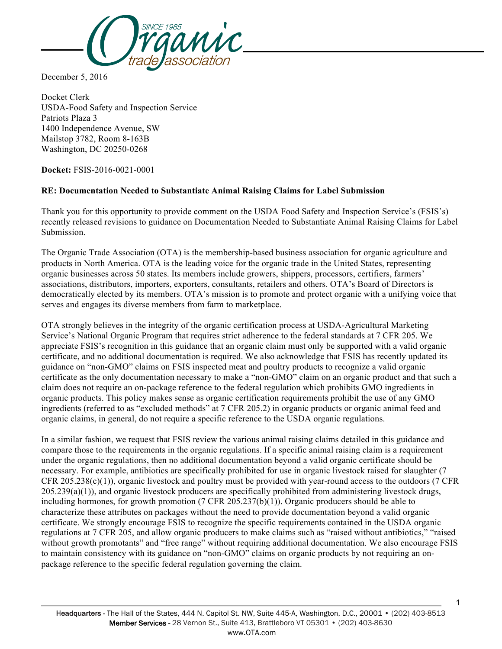

December 5, 2016

Docket Clerk USDA-Food Safety and Inspection Service Patriots Plaza 3 1400 Independence Avenue, SW Mailstop 3782, Room 8-163B Washington, DC 20250-0268

**Docket:** FSIS-2016-0021-0001

## **RE: Documentation Needed to Substantiate Animal Raising Claims for Label Submission**

Thank you for this opportunity to provide comment on the USDA Food Safety and Inspection Service's (FSIS's) recently released revisions to guidance on Documentation Needed to Substantiate Animal Raising Claims for Label Submission.

The Organic Trade Association (OTA) is the membership-based business association for organic agriculture and products in North America. OTA is the leading voice for the organic trade in the United States, representing organic businesses across 50 states. Its members include growers, shippers, processors, certifiers, farmers' associations, distributors, importers, exporters, consultants, retailers and others. OTA's Board of Directors is democratically elected by its members. OTA's mission is to promote and protect organic with a unifying voice that serves and engages its diverse members from farm to marketplace.

OTA strongly believes in the integrity of the organic certification process at USDA-Agricultural Marketing Service's National Organic Program that requires strict adherence to the federal standards at 7 CFR 205. We appreciate FSIS's recognition in this guidance that an organic claim must only be supported with a valid organic certificate, and no additional documentation is required. We also acknowledge that FSIS has recently updated its guidance on "non-GMO" claims on FSIS inspected meat and poultry products to recognize a valid organic certificate as the only documentation necessary to make a "non-GMO" claim on an organic product and that such a claim does not require an on-package reference to the federal regulation which prohibits GMO ingredients in organic products. This policy makes sense as organic certification requirements prohibit the use of any GMO ingredients (referred to as "excluded methods" at 7 CFR 205.2) in organic products or organic animal feed and organic claims, in general, do not require a specific reference to the USDA organic regulations.

In a similar fashion, we request that FSIS review the various animal raising claims detailed in this guidance and compare those to the requirements in the organic regulations. If a specific animal raising claim is a requirement under the organic regulations, then no additional documentation beyond a valid organic certificate should be necessary. For example, antibiotics are specifically prohibited for use in organic livestock raised for slaughter (7 CFR 205.238(c)(1)), organic livestock and poultry must be provided with year-round access to the outdoors (7 CFR 205.239(a)(1)), and organic livestock producers are specifically prohibited from administering livestock drugs, including hormones, for growth promotion (7 CFR 205.237(b)(1)). Organic producers should be able to characterize these attributes on packages without the need to provide documentation beyond a valid organic certificate. We strongly encourage FSIS to recognize the specific requirements contained in the USDA organic regulations at 7 CFR 205, and allow organic producers to make claims such as "raised without antibiotics," "raised without growth promotants" and "free range" without requiring additional documentation. We also encourage FSIS to maintain consistency with its guidance on "non-GMO" claims on organic products by not requiring an onpackage reference to the specific federal regulation governing the claim.

1